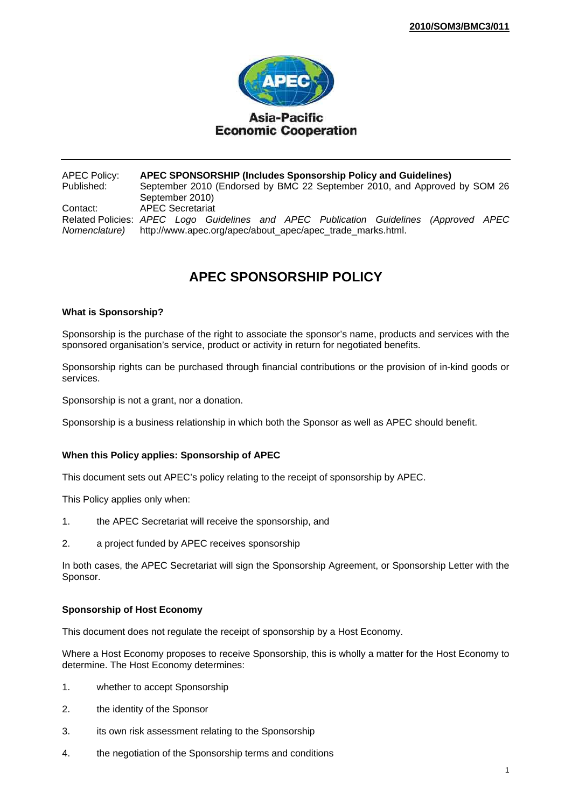

APEC Policy: **APEC SPONSORSHIP (Includes Sponsorship Policy and Guidelines)** September 2010 (Endorsed by BMC 22 September 2010, and Approved by SOM 26 September 2010) Contact: APEC Secretariat Related Policies: *APEC Logo Guidelines and APEC Publication Guidelines (Approved APEC Nomenclature)* http://www.apec.org/apec/about\_apec/apec\_trade\_marks.html.

# **APEC SPONSORSHIP POLICY**

## **What is Sponsorship?**

Sponsorship is the purchase of the right to associate the sponsor's name, products and services with the sponsored organisation's service, product or activity in return for negotiated benefits.

Sponsorship rights can be purchased through financial contributions or the provision of in-kind goods or services.

Sponsorship is not a grant, nor a donation.

Sponsorship is a business relationship in which both the Sponsor as well as APEC should benefit.

## **When this Policy applies: Sponsorship of APEC**

This document sets out APEC's policy relating to the receipt of sponsorship by APEC.

This Policy applies only when:

- 1. the APEC Secretariat will receive the sponsorship, and
- 2. a project funded by APEC receives sponsorship

In both cases, the APEC Secretariat will sign the Sponsorship Agreement, or Sponsorship Letter with the Sponsor.

## **Sponsorship of Host Economy**

This document does not regulate the receipt of sponsorship by a Host Economy.

Where a Host Economy proposes to receive Sponsorship, this is wholly a matter for the Host Economy to determine. The Host Economy determines:

- 1. whether to accept Sponsorship
- 2. the identity of the Sponsor
- 3. its own risk assessment relating to the Sponsorship
- 4. the negotiation of the Sponsorship terms and conditions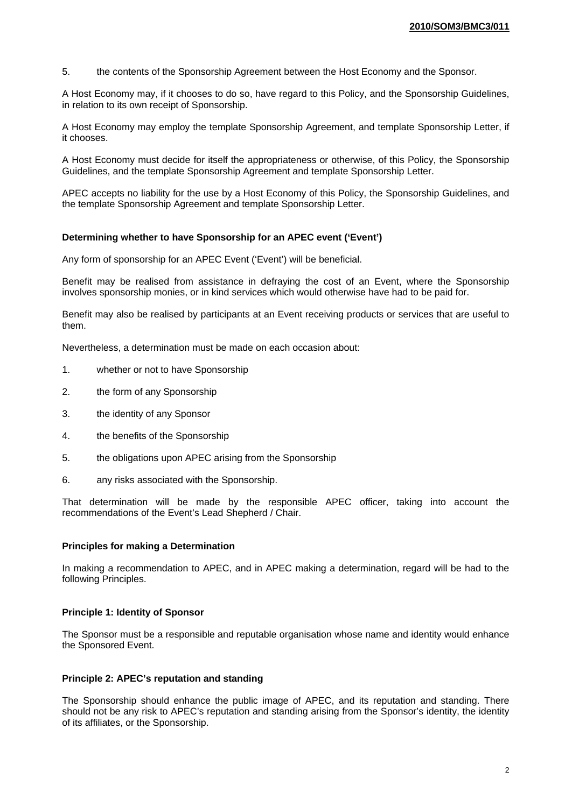5. the contents of the Sponsorship Agreement between the Host Economy and the Sponsor.

A Host Economy may, if it chooses to do so, have regard to this Policy, and the Sponsorship Guidelines, in relation to its own receipt of Sponsorship.

A Host Economy may employ the template Sponsorship Agreement, and template Sponsorship Letter, if it chooses.

A Host Economy must decide for itself the appropriateness or otherwise, of this Policy, the Sponsorship Guidelines, and the template Sponsorship Agreement and template Sponsorship Letter.

APEC accepts no liability for the use by a Host Economy of this Policy, the Sponsorship Guidelines, and the template Sponsorship Agreement and template Sponsorship Letter.

## **Determining whether to have Sponsorship for an APEC event ('Event')**

Any form of sponsorship for an APEC Event ('Event') will be beneficial.

Benefit may be realised from assistance in defraying the cost of an Event, where the Sponsorship involves sponsorship monies, or in kind services which would otherwise have had to be paid for.

Benefit may also be realised by participants at an Event receiving products or services that are useful to them.

Nevertheless, a determination must be made on each occasion about:

- 1. whether or not to have Sponsorship
- 2. the form of any Sponsorship
- 3. the identity of any Sponsor
- 4. the benefits of the Sponsorship
- 5. the obligations upon APEC arising from the Sponsorship
- 6. any risks associated with the Sponsorship.

That determination will be made by the responsible APEC officer, taking into account the recommendations of the Event's Lead Shepherd / Chair.

## **Principles for making a Determination**

In making a recommendation to APEC, and in APEC making a determination, regard will be had to the following Principles.

## **Principle 1: Identity of Sponsor**

The Sponsor must be a responsible and reputable organisation whose name and identity would enhance the Sponsored Event.

## **Principle 2: APEC's reputation and standing**

The Sponsorship should enhance the public image of APEC, and its reputation and standing. There should not be any risk to APEC's reputation and standing arising from the Sponsor's identity, the identity of its affiliates, or the Sponsorship.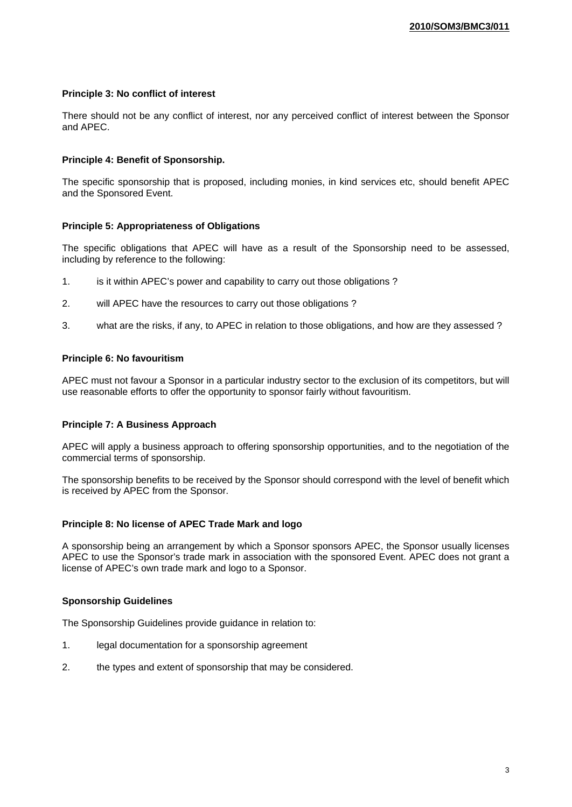# **Principle 3: No conflict of interest**

There should not be any conflict of interest, nor any perceived conflict of interest between the Sponsor and APEC.

## **Principle 4: Benefit of Sponsorship.**

The specific sponsorship that is proposed, including monies, in kind services etc, should benefit APEC and the Sponsored Event.

## **Principle 5: Appropriateness of Obligations**

The specific obligations that APEC will have as a result of the Sponsorship need to be assessed, including by reference to the following:

- 1. is it within APEC's power and capability to carry out those obligations ?
- 2. will APEC have the resources to carry out those obligations ?
- 3. what are the risks, if any, to APEC in relation to those obligations, and how are they assessed ?

## **Principle 6: No favouritism**

APEC must not favour a Sponsor in a particular industry sector to the exclusion of its competitors, but will use reasonable efforts to offer the opportunity to sponsor fairly without favouritism.

## **Principle 7: A Business Approach**

APEC will apply a business approach to offering sponsorship opportunities, and to the negotiation of the commercial terms of sponsorship.

The sponsorship benefits to be received by the Sponsor should correspond with the level of benefit which is received by APEC from the Sponsor.

## **Principle 8: No license of APEC Trade Mark and logo**

A sponsorship being an arrangement by which a Sponsor sponsors APEC, the Sponsor usually licenses APEC to use the Sponsor's trade mark in association with the sponsored Event. APEC does not grant a license of APEC's own trade mark and logo to a Sponsor.

## **Sponsorship Guidelines**

The Sponsorship Guidelines provide guidance in relation to:

- 1. legal documentation for a sponsorship agreement
- 2. the types and extent of sponsorship that may be considered.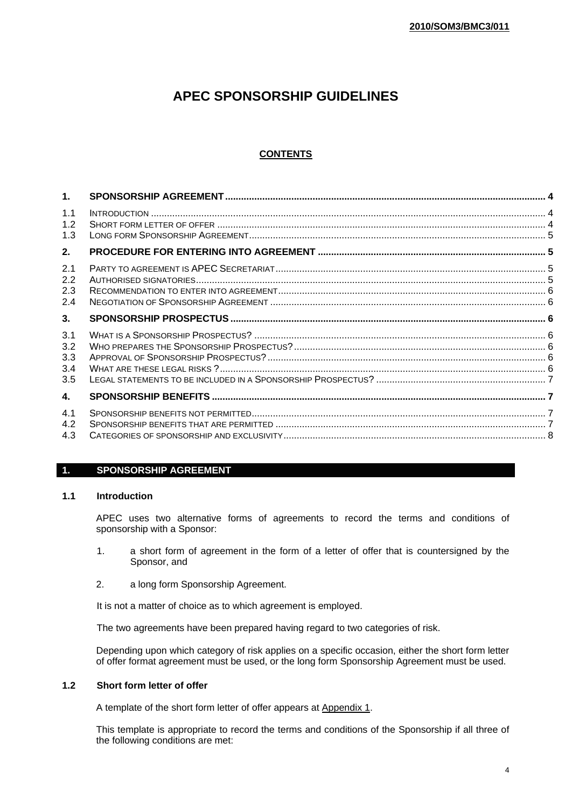# **APEC SPONSORSHIP GUIDELINES**

# **CONTENTS**

## **1. SPONSORSHIP AGREEMENT**

## **1.1 Introduction**

APEC uses two alternative forms of agreements to record the terms and conditions of sponsorship with a Sponsor:

- 1. a short form of agreement in the form of a letter of offer that is countersigned by the Sponsor, and
- 2. a long form Sponsorship Agreement.

It is not a matter of choice as to which agreement is employed.

The two agreements have been prepared having regard to two categories of risk.

Depending upon which category of risk applies on a specific occasion, either the short form letter of offer format agreement must be used, or the long form Sponsorship Agreement must be used.

## **1.2 Short form letter of offer**

A template of the short form letter of offer appears at Appendix 1.

This template is appropriate to record the terms and conditions of the Sponsorship if all three of the following conditions are met: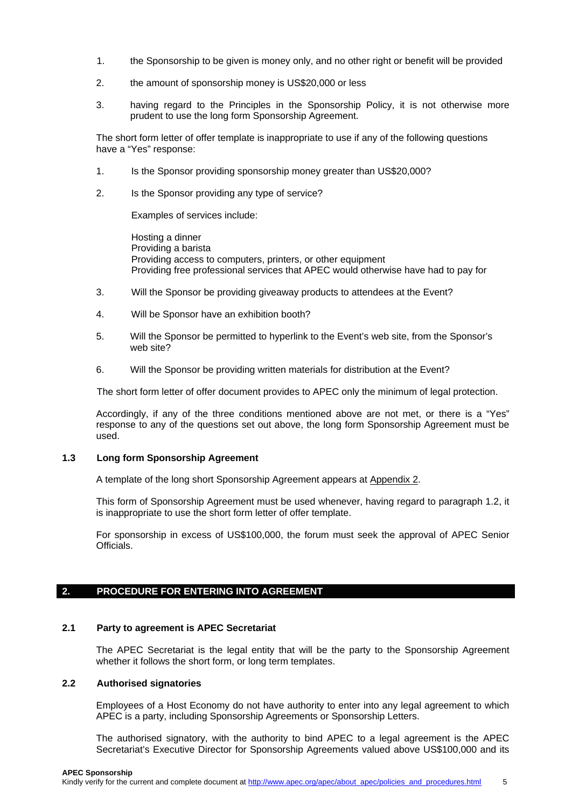- 1. the Sponsorship to be given is money only, and no other right or benefit will be provided
- 2. the amount of sponsorship money is US\$20,000 or less
- 3. having regard to the Principles in the Sponsorship Policy, it is not otherwise more prudent to use the long form Sponsorship Agreement.

The short form letter of offer template is inappropriate to use if any of the following questions have a "Yes" response:

- 1. Is the Sponsor providing sponsorship money greater than US\$20,000?
- 2. Is the Sponsor providing any type of service?

Examples of services include:

Hosting a dinner Providing a barista Providing access to computers, printers, or other equipment Providing free professional services that APEC would otherwise have had to pay for

- 3. Will the Sponsor be providing giveaway products to attendees at the Event?
- 4. Will be Sponsor have an exhibition booth?
- 5. Will the Sponsor be permitted to hyperlink to the Event's web site, from the Sponsor's web site?
- 6. Will the Sponsor be providing written materials for distribution at the Event?

The short form letter of offer document provides to APEC only the minimum of legal protection.

Accordingly, if any of the three conditions mentioned above are not met, or there is a "Yes" response to any of the questions set out above, the long form Sponsorship Agreement must be used.

## **1.3 Long form Sponsorship Agreement**

A template of the long short Sponsorship Agreement appears at Appendix 2.

This form of Sponsorship Agreement must be used whenever, having regard to paragraph 1.2, it is inappropriate to use the short form letter of offer template.

For sponsorship in excess of US\$100,000, the forum must seek the approval of APEC Senior Officials.

# **2. PROCEDURE FOR ENTERING INTO AGREEMENT**

# **2.1 Party to agreement is APEC Secretariat**

The APEC Secretariat is the legal entity that will be the party to the Sponsorship Agreement whether it follows the short form, or long term templates.

# **2.2 Authorised signatories**

Employees of a Host Economy do not have authority to enter into any legal agreement to which APEC is a party, including Sponsorship Agreements or Sponsorship Letters.

The authorised signatory, with the authority to bind APEC to a legal agreement is the APEC Secretariat's Executive Director for Sponsorship Agreements valued above US\$100,000 and its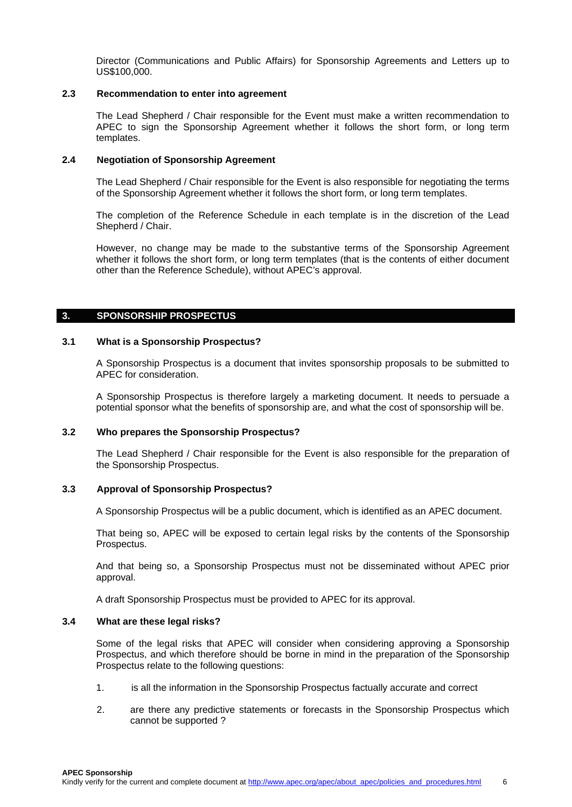Director (Communications and Public Affairs) for Sponsorship Agreements and Letters up to US\$100,000.

## **2.3 Recommendation to enter into agreement**

The Lead Shepherd / Chair responsible for the Event must make a written recommendation to APEC to sign the Sponsorship Agreement whether it follows the short form, or long term templates.

#### **2.4 Negotiation of Sponsorship Agreement**

The Lead Shepherd / Chair responsible for the Event is also responsible for negotiating the terms of the Sponsorship Agreement whether it follows the short form, or long term templates.

The completion of the Reference Schedule in each template is in the discretion of the Lead Shepherd / Chair.

However, no change may be made to the substantive terms of the Sponsorship Agreement whether it follows the short form, or long term templates (that is the contents of either document other than the Reference Schedule), without APEC's approval.

## **3. SPONSORSHIP PROSPECTUS**

#### **3.1 What is a Sponsorship Prospectus?**

A Sponsorship Prospectus is a document that invites sponsorship proposals to be submitted to APEC for consideration.

A Sponsorship Prospectus is therefore largely a marketing document. It needs to persuade a potential sponsor what the benefits of sponsorship are, and what the cost of sponsorship will be.

## **3.2 Who prepares the Sponsorship Prospectus?**

The Lead Shepherd / Chair responsible for the Event is also responsible for the preparation of the Sponsorship Prospectus.

#### **3.3 Approval of Sponsorship Prospectus?**

A Sponsorship Prospectus will be a public document, which is identified as an APEC document.

That being so, APEC will be exposed to certain legal risks by the contents of the Sponsorship Prospectus.

And that being so, a Sponsorship Prospectus must not be disseminated without APEC prior approval.

A draft Sponsorship Prospectus must be provided to APEC for its approval.

#### **3.4 What are these legal risks?**

Some of the legal risks that APEC will consider when considering approving a Sponsorship Prospectus, and which therefore should be borne in mind in the preparation of the Sponsorship Prospectus relate to the following questions:

- 1. is all the information in the Sponsorship Prospectus factually accurate and correct
- 2. are there any predictive statements or forecasts in the Sponsorship Prospectus which cannot be supported ?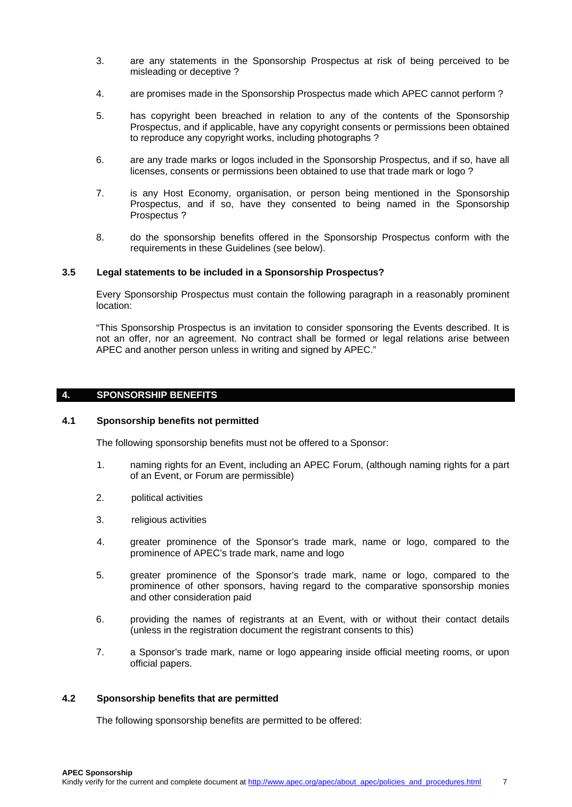- 3. are any statements in the Sponsorship Prospectus at risk of being perceived to be misleading or deceptive ?
- 4. are promises made in the Sponsorship Prospectus made which APEC cannot perform ?
- 5. has copyright been breached in relation to any of the contents of the Sponsorship Prospectus, and if applicable, have any copyright consents or permissions been obtained to reproduce any copyright works, including photographs ?
- 6. are any trade marks or logos included in the Sponsorship Prospectus, and if so, have all licenses, consents or permissions been obtained to use that trade mark or logo ?
- 7. is any Host Economy, organisation, or person being mentioned in the Sponsorship Prospectus, and if so, have they consented to being named in the Sponsorship Prospectus ?
- 8. do the sponsorship benefits offered in the Sponsorship Prospectus conform with the requirements in these Guidelines (see below).

## **3.5 Legal statements to be included in a Sponsorship Prospectus?**

Every Sponsorship Prospectus must contain the following paragraph in a reasonably prominent location:

"This Sponsorship Prospectus is an invitation to consider sponsoring the Events described. It is not an offer, nor an agreement. No contract shall be formed or legal relations arise between APEC and another person unless in writing and signed by APEC."

#### **4. SPONSORSHIP BENEFITS**

## **4.1 Sponsorship benefits not permitted**

The following sponsorship benefits must not be offered to a Sponsor:

- 1. naming rights for an Event, including an APEC Forum, (although naming rights for a part of an Event, or Forum are permissible)
- 2. political activities
- 3. religious activities
- 4. greater prominence of the Sponsor's trade mark, name or logo, compared to the prominence of APEC's trade mark, name and logo
- 5. greater prominence of the Sponsor's trade mark, name or logo, compared to the prominence of other sponsors, having regard to the comparative sponsorship monies and other consideration paid
- 6. providing the names of registrants at an Event, with or without their contact details (unless in the registration document the registrant consents to this)
- 7. a Sponsor's trade mark, name or logo appearing inside official meeting rooms, or upon official papers.

## **4.2 Sponsorship benefits that are permitted**

The following sponsorship benefits are permitted to be offered: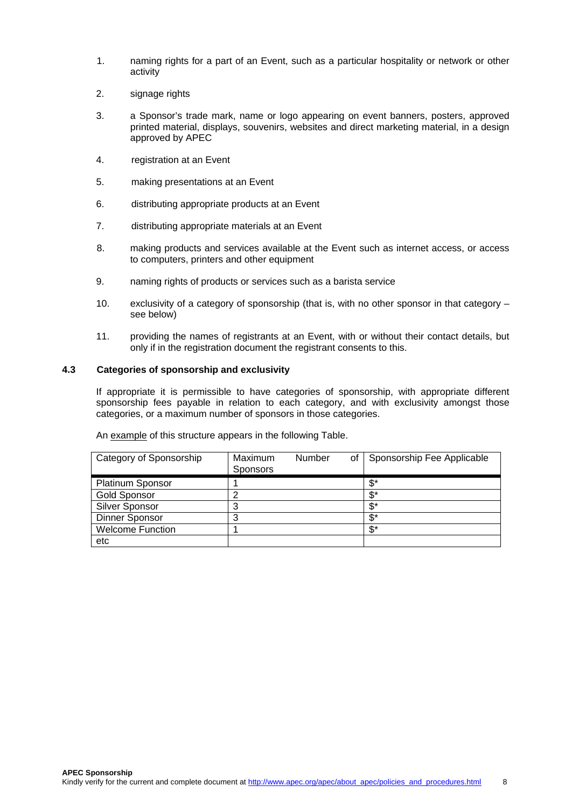- 1. naming rights for a part of an Event, such as a particular hospitality or network or other activity
- 2. signage rights
- 3. a Sponsor's trade mark, name or logo appearing on event banners, posters, approved printed material, displays, souvenirs, websites and direct marketing material, in a design approved by APEC
- 4. registration at an Event
- 5. making presentations at an Event
- 6. distributing appropriate products at an Event
- 7. distributing appropriate materials at an Event
- 8. making products and services available at the Event such as internet access, or access to computers, printers and other equipment
- 9. naming rights of products or services such as a barista service
- 10. exclusivity of a category of sponsorship (that is, with no other sponsor in that category see below)
- 11. providing the names of registrants at an Event, with or without their contact details, but only if in the registration document the registrant consents to this.

## **4.3 Categories of sponsorship and exclusivity**

If appropriate it is permissible to have categories of sponsorship, with appropriate different sponsorship fees payable in relation to each category, and with exclusivity amongst those categories, or a maximum number of sponsors in those categories.

| An example of this structure appears in the following Table. |  |
|--------------------------------------------------------------|--|
|--------------------------------------------------------------|--|

| Category of Sponsorship | Maximum<br><b>Sponsors</b> | <b>Number</b> | οf | Sponsorship Fee Applicable |
|-------------------------|----------------------------|---------------|----|----------------------------|
| <b>Platinum Sponsor</b> |                            |               |    | \$*                        |
| <b>Gold Sponsor</b>     |                            |               |    | \$*                        |
| <b>Silver Sponsor</b>   | 3                          |               |    | \$*                        |
| Dinner Sponsor          | 3                          |               |    | \$*                        |
| <b>Welcome Function</b> |                            |               |    | \$*                        |
| etc                     |                            |               |    |                            |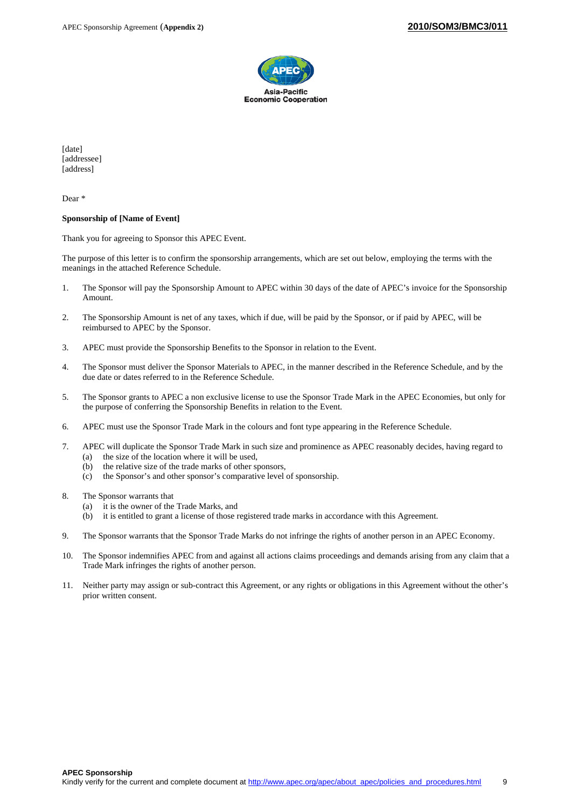

[date] [addressee] [address]

Dear \*

#### **Sponsorship of [Name of Event]**

Thank you for agreeing to Sponsor this APEC Event.

The purpose of this letter is to confirm the sponsorship arrangements, which are set out below, employing the terms with the meanings in the attached Reference Schedule.

- 1. The Sponsor will pay the Sponsorship Amount to APEC within 30 days of the date of APEC's invoice for the Sponsorship Amount.
- 2. The Sponsorship Amount is net of any taxes, which if due, will be paid by the Sponsor, or if paid by APEC, will be reimbursed to APEC by the Sponsor.
- 3. APEC must provide the Sponsorship Benefits to the Sponsor in relation to the Event.
- 4. The Sponsor must deliver the Sponsor Materials to APEC, in the manner described in the Reference Schedule, and by the due date or dates referred to in the Reference Schedule.
- 5. The Sponsor grants to APEC a non exclusive license to use the Sponsor Trade Mark in the APEC Economies, but only for the purpose of conferring the Sponsorship Benefits in relation to the Event.
- 6. APEC must use the Sponsor Trade Mark in the colours and font type appearing in the Reference Schedule.
- 7. APEC will duplicate the Sponsor Trade Mark in such size and prominence as APEC reasonably decides, having regard to (a) the size of the location where it will be used,
	- (b) the relative size of the trade marks of other sponsors,
	- (c) the Sponsor's and other sponsor's comparative level of sponsorship.
- 8. The Sponsor warrants that
	- (a) it is the owner of the Trade Marks, and
	- (b) it is entitled to grant a license of those registered trade marks in accordance with this Agreement.
- 9. The Sponsor warrants that the Sponsor Trade Marks do not infringe the rights of another person in an APEC Economy.
- 10. The Sponsor indemnifies APEC from and against all actions claims proceedings and demands arising from any claim that a Trade Mark infringes the rights of another person.
- 11. Neither party may assign or sub-contract this Agreement, or any rights or obligations in this Agreement without the other's prior written consent.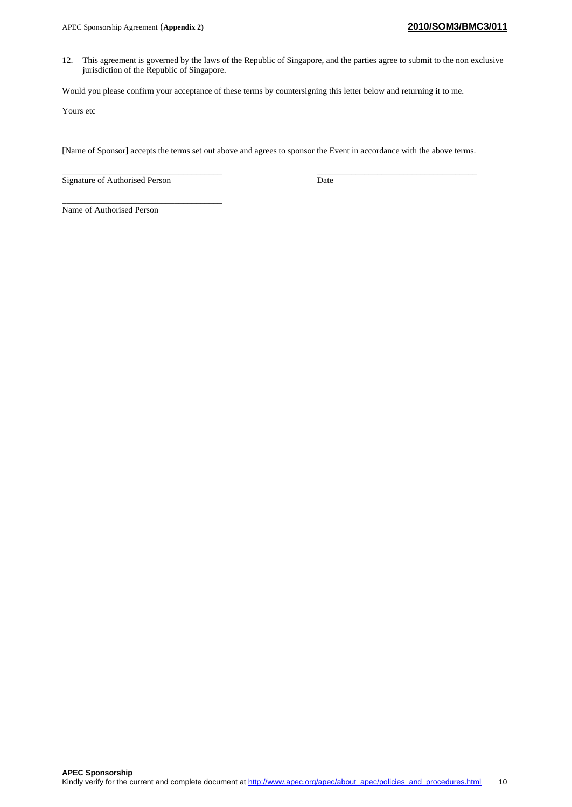12. This agreement is governed by the laws of the Republic of Singapore, and the parties agree to submit to the non exclusive jurisdiction of the Republic of Singapore.

Would you please confirm your acceptance of these terms by countersigning this letter below and returning it to me.

Yours etc

[Name of Sponsor] accepts the terms set out above and agrees to sponsor the Event in accordance with the above terms.

Signature of Authorised Person Date

\_\_\_\_\_\_\_\_\_\_\_\_\_\_\_\_\_\_\_\_\_\_\_\_\_\_\_\_\_\_\_\_\_\_\_\_\_

\_\_\_\_\_\_\_\_\_\_\_\_\_\_\_\_\_\_\_\_\_\_\_\_\_\_\_\_\_\_\_\_\_\_\_\_\_ \_\_\_\_\_\_\_\_\_\_\_\_\_\_\_\_\_\_\_\_\_\_\_\_\_\_\_\_\_\_\_\_\_\_\_\_\_

Name of Authorised Person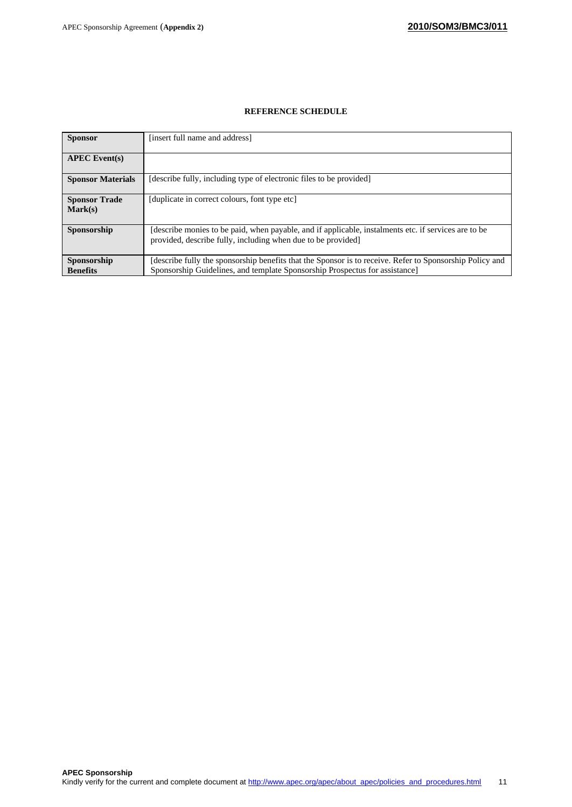# **REFERENCE SCHEDULE**

| <b>Sponsor</b>                  | [insert full name and address]                                                                                                                                                          |
|---------------------------------|-----------------------------------------------------------------------------------------------------------------------------------------------------------------------------------------|
| $APEC$ Event(s)                 |                                                                                                                                                                                         |
| <b>Sponsor Materials</b>        | [describe fully, including type of electronic files to be provided]                                                                                                                     |
| <b>Sponsor Trade</b><br>Mark(s) | [duplicate in correct colours, font type etc]                                                                                                                                           |
| Sponsorship                     | (describe monies to be paid, when payable, and if applicable, instalments etc. if services are to be<br>provided, describe fully, including when due to be provided]                    |
| Sponsorship<br><b>Benefits</b>  | [describe fully the sponsorship benefits that the Sponsor is to receive. Refer to Sponsorship Policy and<br>Sponsorship Guidelines, and template Sponsorship Prospectus for assistance] |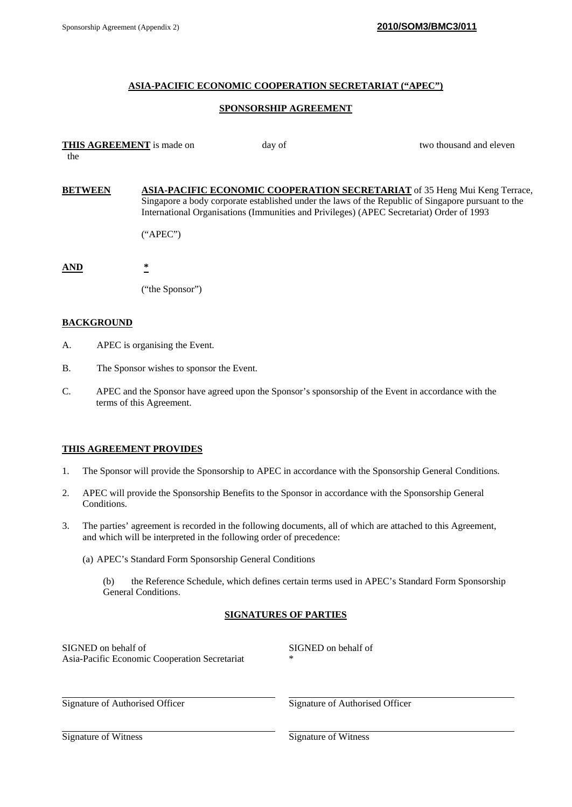## **ASIA-PACIFIC ECONOMIC COOPERATION SECRETARIAT ("APEC")**

## **SPONSORSHIP AGREEMENT**

| the            | <b>THIS AGREEMENT</b> is made on | day of | two thousand and eleven                                                                                                                                                                                                                                                             |
|----------------|----------------------------------|--------|-------------------------------------------------------------------------------------------------------------------------------------------------------------------------------------------------------------------------------------------------------------------------------------|
|                |                                  |        |                                                                                                                                                                                                                                                                                     |
| <b>BETWEEN</b> |                                  |        | <b>ASIA-PACIFIC ECONOMIC COOPERATION SECRETARIAT</b> of 35 Heng Mui Keng Terrace,<br>Singapore a body corporate established under the laws of the Republic of Singapore pursuant to the<br>International Organisations (Immunities and Privileges) (APEC Secretariat) Order of 1993 |
|                | ("APEC")                         |        |                                                                                                                                                                                                                                                                                     |
| AND            | $\ast$                           |        |                                                                                                                                                                                                                                                                                     |
|                | ("the Sponsor")                  |        |                                                                                                                                                                                                                                                                                     |

## **BACKGROUND**

- A. APEC is organising the Event.
- B. The Sponsor wishes to sponsor the Event.
- C. APEC and the Sponsor have agreed upon the Sponsor's sponsorship of the Event in accordance with the terms of this Agreement.

## **THIS AGREEMENT PROVIDES**

- 1. The Sponsor will provide the Sponsorship to APEC in accordance with the Sponsorship General Conditions.
- 2. APEC will provide the Sponsorship Benefits to the Sponsor in accordance with the Sponsorship General Conditions.
- 3. The parties' agreement is recorded in the following documents, all of which are attached to this Agreement, and which will be interpreted in the following order of precedence:
	- (a) APEC's Standard Form Sponsorship General Conditions
		- (b) the Reference Schedule, which defines certain terms used in APEC's Standard Form Sponsorship General Conditions.

## **SIGNATURES OF PARTIES**

| SIGNED on behalf of                           | SIGNED on behalf of |
|-----------------------------------------------|---------------------|
| Asia-Pacific Economic Cooperation Secretariat | ∗                   |
|                                               |                     |

Signature of Authorised Officer Signature of Authorised Officer

Signature of Witness Signature of Witness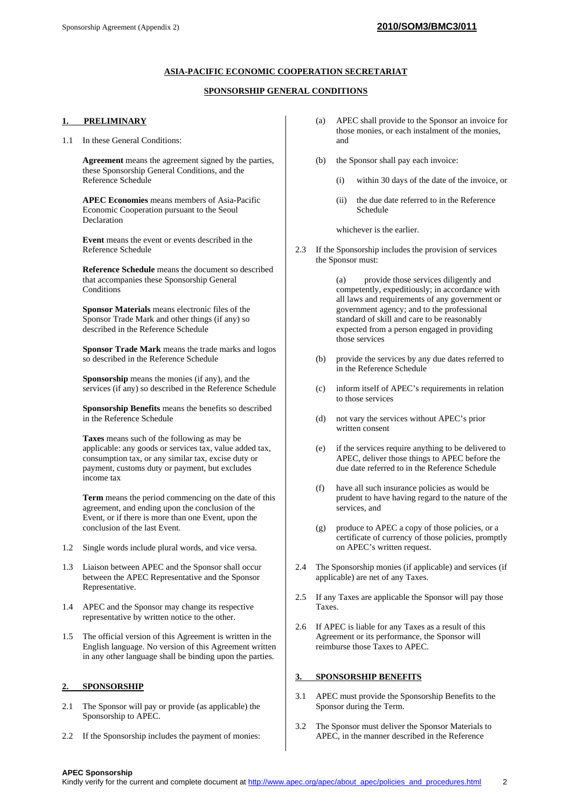#### **ASIA-PACIFIC ECONOMIC COOPERATION SECRETARIAT**

#### **SPONSORSHIP GENERAL CONDITIONS**

#### **1. PRELIMINARY**

1.1 In these General Conditions:

**Agreement** means the agreement signed by the parties, these Sponsorship General Conditions, and the Reference Schedule

**APEC Economies** means members of Asia-Pacific Economic Cooperation pursuant to the Seoul Declaration

**Event** means the event or events described in the Reference Schedule

**Reference Schedule** means the document so described that accompanies these Sponsorship General Conditions

**Sponsor Materials** means electronic files of the Sponsor Trade Mark and other things (if any) so described in the Reference Schedule

**Sponsor Trade Mark** means the trade marks and logos so described in the Reference Schedule

**Sponsorship** means the monies (if any), and the services (if any) so described in the Reference Schedule

**Sponsorship Benefits** means the benefits so described in the Reference Schedule

**Taxes** means such of the following as may be applicable: any goods or services tax, value added tax, consumption tax, or any similar tax, excise duty or payment, customs duty or payment, but excludes income tax

**Term** means the period commencing on the date of this agreement, and ending upon the conclusion of the Event, or if there is more than one Event, upon the conclusion of the last Event.

- 1.2 Single words include plural words, and vice versa.
- 1.3 Liaison between APEC and the Sponsor shall occur between the APEC Representative and the Sponsor Representative.
- 1.4 APEC and the Sponsor may change its respective representative by written notice to the other.
- 1.5 The official version of this Agreement is written in the English language. No version of this Agreement written in any other language shall be binding upon the parties.

#### **2. SPONSORSHIP**

- 2.1 The Sponsor will pay or provide (as applicable) the Sponsorship to APEC.
- 2.2 If the Sponsorship includes the payment of monies:
- (a) APEC shall provide to the Sponsor an invoice for those monies, or each instalment of the monies, and
- (b) the Sponsor shall pay each invoice:
	- (i) within 30 days of the date of the invoice, or
	- (ii) the due date referred to in the Reference Schedule

whichever is the earlier.

2.3 If the Sponsorship includes the provision of services the Sponsor must:

> (a) provide those services diligently and competently, expeditiously; in accordance with all laws and requirements of any government or government agency; and to the professional standard of skill and care to be reasonably expected from a person engaged in providing those services

- (b) provide the services by any due dates referred to in the Reference Schedule
- (c) inform itself of APEC's requirements in relation to those services
- (d) not vary the services without APEC's prior written consent
- (e) if the services require anything to be delivered to APEC, deliver those things to APEC before the due date referred to in the Reference Schedule
- (f) have all such insurance policies as would be prudent to have having regard to the nature of the services, and
- (g) produce to APEC a copy of those policies, or a certificate of currency of those policies, promptly on APEC's written request.
- 2.4 The Sponsorship monies (if applicable) and services (if applicable) are net of any Taxes.
- 2.5 If any Taxes are applicable the Sponsor will pay those Taxes.
- 2.6 If APEC is liable for any Taxes as a result of this Agreement or its performance, the Sponsor will reimburse those Taxes to APEC.

#### **3. SPONSORSHIP BENEFITS**

- 3.1 APEC must provide the Sponsorship Benefits to the Sponsor during the Term.
- 3.2 The Sponsor must deliver the Sponsor Materials to APEC, in the manner described in the Reference

#### **APEC Sponsorship**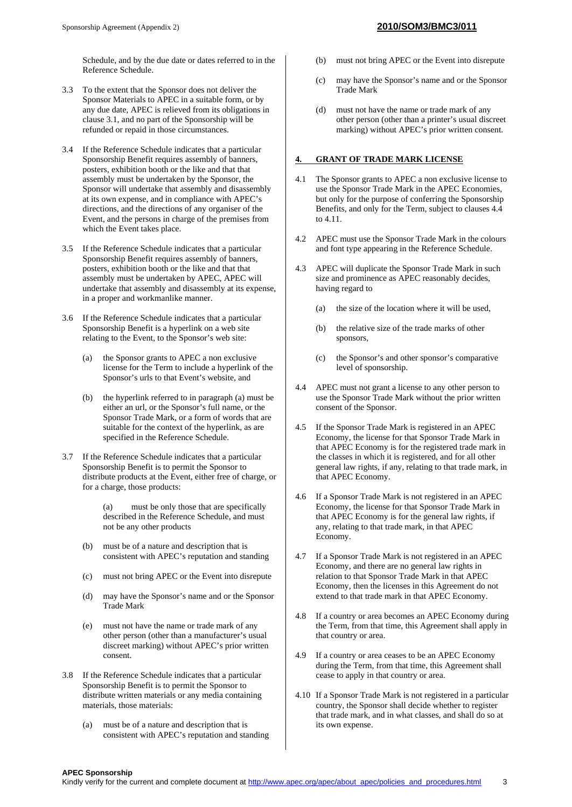Schedule, and by the due date or dates referred to in the Reference Schedule.

- 3.3 To the extent that the Sponsor does not deliver the Sponsor Materials to APEC in a suitable form, or by any due date, APEC is relieved from its obligations in clause 3.1, and no part of the Sponsorship will be refunded or repaid in those circumstances.
- 3.4 If the Reference Schedule indicates that a particular Sponsorship Benefit requires assembly of banners, posters, exhibition booth or the like and that that assembly must be undertaken by the Sponsor, the Sponsor will undertake that assembly and disassembly at its own expense, and in compliance with APEC's directions, and the directions of any organiser of the Event, and the persons in charge of the premises from which the Event takes place.
- 3.5 If the Reference Schedule indicates that a particular Sponsorship Benefit requires assembly of banners, posters, exhibition booth or the like and that that assembly must be undertaken by APEC, APEC will undertake that assembly and disassembly at its expense, in a proper and workmanlike manner.
- 3.6 If the Reference Schedule indicates that a particular Sponsorship Benefit is a hyperlink on a web site relating to the Event, to the Sponsor's web site:
	- (a) the Sponsor grants to APEC a non exclusive license for the Term to include a hyperlink of the Sponsor's urls to that Event's website, and
	- (b) the hyperlink referred to in paragraph (a) must be either an url, or the Sponsor's full name, or the Sponsor Trade Mark, or a form of words that are suitable for the context of the hyperlink, as are specified in the Reference Schedule.
- 3.7 If the Reference Schedule indicates that a particular Sponsorship Benefit is to permit the Sponsor to distribute products at the Event, either free of charge, or for a charge, those products:
	- (a) must be only those that are specifically described in the Reference Schedule, and must not be any other products
	- (b) must be of a nature and description that is consistent with APEC's reputation and standing
	- (c) must not bring APEC or the Event into disrepute
	- (d) may have the Sponsor's name and or the Sponsor Trade Mark
	- (e) must not have the name or trade mark of any other person (other than a manufacturer's usual discreet marking) without APEC's prior written consent.
- 3.8 If the Reference Schedule indicates that a particular Sponsorship Benefit is to permit the Sponsor to distribute written materials or any media containing materials, those materials:
	- (a) must be of a nature and description that is consistent with APEC's reputation and standing
- (b) must not bring APEC or the Event into disrepute
- (c) may have the Sponsor's name and or the Sponsor Trade Mark
- (d) must not have the name or trade mark of any other person (other than a printer's usual discreet marking) without APEC's prior written consent.

#### **4. GRANT OF TRADE MARK LICENSE**

- 4.1 The Sponsor grants to APEC a non exclusive license to use the Sponsor Trade Mark in the APEC Economies, but only for the purpose of conferring the Sponsorship Benefits, and only for the Term, subject to clauses 4.4 to 4.11.
- 4.2 APEC must use the Sponsor Trade Mark in the colours and font type appearing in the Reference Schedule.
- 4.3 APEC will duplicate the Sponsor Trade Mark in such size and prominence as APEC reasonably decides, having regard to
	- (a) the size of the location where it will be used,
	- (b) the relative size of the trade marks of other sponsors,
	- (c) the Sponsor's and other sponsor's comparative level of sponsorship.
- 4.4 APEC must not grant a license to any other person to use the Sponsor Trade Mark without the prior written consent of the Sponsor.
- 4.5 If the Sponsor Trade Mark is registered in an APEC Economy, the license for that Sponsor Trade Mark in that APEC Economy is for the registered trade mark in the classes in which it is registered, and for all other general law rights, if any, relating to that trade mark, in that APEC Economy.
- 4.6 If a Sponsor Trade Mark is not registered in an APEC Economy, the license for that Sponsor Trade Mark in that APEC Economy is for the general law rights, if any, relating to that trade mark, in that APEC Economy.
- 4.7 If a Sponsor Trade Mark is not registered in an APEC Economy, and there are no general law rights in relation to that Sponsor Trade Mark in that APEC Economy, then the licenses in this Agreement do not extend to that trade mark in that APEC Economy.
- 4.8 If a country or area becomes an APEC Economy during the Term, from that time, this Agreement shall apply in that country or area.
- 4.9 If a country or area ceases to be an APEC Economy during the Term, from that time, this Agreement shall cease to apply in that country or area.
- 4.10 If a Sponsor Trade Mark is not registered in a particular country, the Sponsor shall decide whether to register that trade mark, and in what classes, and shall do so at its own expense.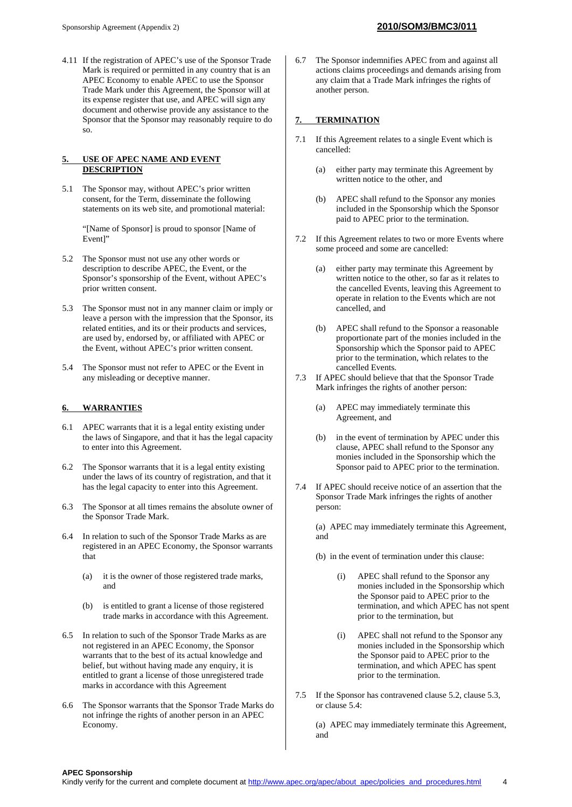4.11 If the registration of APEC's use of the Sponsor Trade Mark is required or permitted in any country that is an APEC Economy to enable APEC to use the Sponsor Trade Mark under this Agreement, the Sponsor will at its expense register that use, and APEC will sign any document and otherwise provide any assistance to the Sponsor that the Sponsor may reasonably require to do so.

#### **5. USE OF APEC NAME AND EVENT DESCRIPTION**

5.1 The Sponsor may, without APEC's prior written consent, for the Term, disseminate the following statements on its web site, and promotional material:

> "[Name of Sponsor] is proud to sponsor [Name of Event]"

- 5.2 The Sponsor must not use any other words or description to describe APEC, the Event, or the Sponsor's sponsorship of the Event, without APEC's prior written consent.
- 5.3 The Sponsor must not in any manner claim or imply or leave a person with the impression that the Sponsor, its related entities, and its or their products and services, are used by, endorsed by, or affiliated with APEC or the Event, without APEC's prior written consent.
- 5.4 The Sponsor must not refer to APEC or the Event in any misleading or deceptive manner.

#### **6. WARRANTIES**

- 6.1 APEC warrants that it is a legal entity existing under the laws of Singapore, and that it has the legal capacity to enter into this Agreement.
- 6.2 The Sponsor warrants that it is a legal entity existing under the laws of its country of registration, and that it has the legal capacity to enter into this Agreement.
- 6.3 The Sponsor at all times remains the absolute owner of the Sponsor Trade Mark.
- 6.4 In relation to such of the Sponsor Trade Marks as are registered in an APEC Economy, the Sponsor warrants that
	- (a) it is the owner of those registered trade marks, and
	- (b) is entitled to grant a license of those registered trade marks in accordance with this Agreement.
- 6.5 In relation to such of the Sponsor Trade Marks as are not registered in an APEC Economy, the Sponsor warrants that to the best of its actual knowledge and belief, but without having made any enquiry, it is entitled to grant a license of those unregistered trade marks in accordance with this Agreement
- 6.6 The Sponsor warrants that the Sponsor Trade Marks do not infringe the rights of another person in an APEC Economy.

6.7 The Sponsor indemnifies APEC from and against all actions claims proceedings and demands arising from any claim that a Trade Mark infringes the rights of another person.

#### **7. TERMINATION**

- 7.1 If this Agreement relates to a single Event which is cancelled:
	- (a) either party may terminate this Agreement by written notice to the other, and
	- (b) APEC shall refund to the Sponsor any monies included in the Sponsorship which the Sponsor paid to APEC prior to the termination.
- 7.2 If this Agreement relates to two or more Events where some proceed and some are cancelled:
	- (a) either party may terminate this Agreement by written notice to the other, so far as it relates to the cancelled Events, leaving this Agreement to operate in relation to the Events which are not cancelled, and
	- (b) APEC shall refund to the Sponsor a reasonable proportionate part of the monies included in the Sponsorship which the Sponsor paid to APEC prior to the termination, which relates to the cancelled Events.
- 7.3 If APEC should believe that that the Sponsor Trade Mark infringes the rights of another person:
	- (a) APEC may immediately terminate this Agreement, and
	- (b) in the event of termination by APEC under this clause, APEC shall refund to the Sponsor any monies included in the Sponsorship which the Sponsor paid to APEC prior to the termination.
- 7.4 If APEC should receive notice of an assertion that the Sponsor Trade Mark infringes the rights of another person:

(a) APEC may immediately terminate this Agreement, and

- (b) in the event of termination under this clause:
	- (i) APEC shall refund to the Sponsor any monies included in the Sponsorship which the Sponsor paid to APEC prior to the termination, and which APEC has not spent prior to the termination, but
	- (i) APEC shall not refund to the Sponsor any monies included in the Sponsorship which the Sponsor paid to APEC prior to the termination, and which APEC has spent prior to the termination.
- 7.5 If the Sponsor has contravened clause 5.2, clause 5.3, or clause 5.4:

(a) APEC may immediately terminate this Agreement, and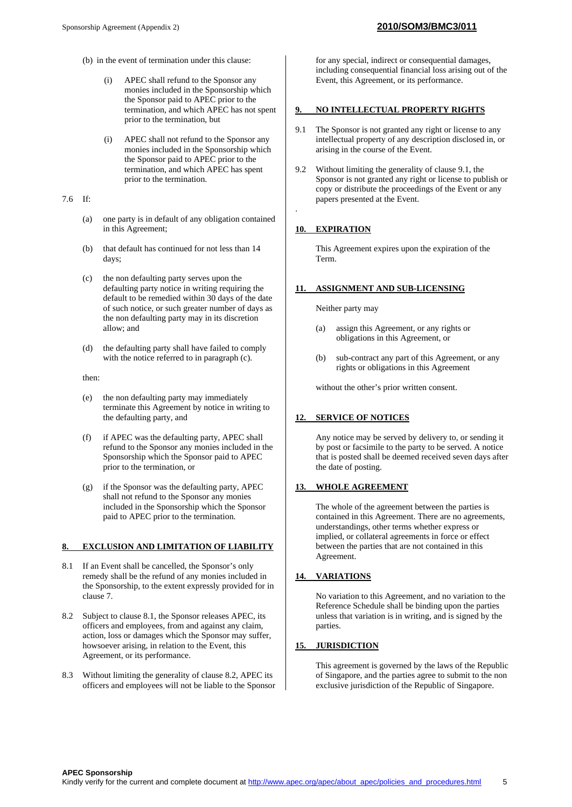- (b) in the event of termination under this clause:
	- APEC shall refund to the Sponsor any monies included in the Sponsorship which the Sponsor paid to APEC prior to the termination, and which APEC has not spent prior to the termination, but
	- (i) APEC shall not refund to the Sponsor any monies included in the Sponsorship which the Sponsor paid to APEC prior to the termination, and which APEC has spent prior to the termination.
- 7.6 If:
	- (a) one party is in default of any obligation contained in this Agreement;
	- (b) that default has continued for not less than 14 days;
	- (c) the non defaulting party serves upon the defaulting party notice in writing requiring the default to be remedied within 30 days of the date of such notice, or such greater number of days as the non defaulting party may in its discretion allow; and
	- (d) the defaulting party shall have failed to comply with the notice referred to in paragraph (c).

then:

- (e) the non defaulting party may immediately terminate this Agreement by notice in writing to the defaulting party, and
- (f) if APEC was the defaulting party, APEC shall refund to the Sponsor any monies included in the Sponsorship which the Sponsor paid to APEC prior to the termination, or
- (g) if the Sponsor was the defaulting party, APEC shall not refund to the Sponsor any monies included in the Sponsorship which the Sponsor paid to APEC prior to the termination.

#### **8. EXCLUSION AND LIMITATION OF LIABILITY**

- 8.1 If an Event shall be cancelled, the Sponsor's only remedy shall be the refund of any monies included in the Sponsorship, to the extent expressly provided for in clause 7.
- 8.2 Subject to clause 8.1, the Sponsor releases APEC, its officers and employees, from and against any claim, action, loss or damages which the Sponsor may suffer, howsoever arising, in relation to the Event, this Agreement, or its performance.
- 8.3 Without limiting the generality of clause 8.2, APEC its officers and employees will not be liable to the Sponsor

for any special, indirect or consequential damages, including consequential financial loss arising out of the Event, this Agreement, or its performance.

#### **9. NO INTELLECTUAL PROPERTY RIGHTS**

- 9.1 The Sponsor is not granted any right or license to any intellectual property of any description disclosed in, or arising in the course of the Event.
- 9.2 Without limiting the generality of clause 9.1, the Sponsor is not granted any right or license to publish or copy or distribute the proceedings of the Event or any papers presented at the Event.

## **10. EXPIRATION**

.

This Agreement expires upon the expiration of the Term.

#### **11. ASSIGNMENT AND SUB-LICENSING**

Neither party may

- (a) assign this Agreement, or any rights or obligations in this Agreement, or
- (b) sub-contract any part of this Agreement, or any rights or obligations in this Agreement

without the other's prior written consent.

## **12. SERVICE OF NOTICES**

Any notice may be served by delivery to, or sending it by post or facsimile to the party to be served. A notice that is posted shall be deemed received seven days after the date of posting.

#### **13. WHOLE AGREEMENT**

The whole of the agreement between the parties is contained in this Agreement. There are no agreements, understandings, other terms whether express or implied, or collateral agreements in force or effect between the parties that are not contained in this Agreement.

## **14. VARIATIONS**

No variation to this Agreement, and no variation to the Reference Schedule shall be binding upon the parties unless that variation is in writing, and is signed by the parties.

#### **15. JURISDICTION**

This agreement is governed by the laws of the Republic of Singapore, and the parties agree to submit to the non exclusive jurisdiction of the Republic of Singapore.